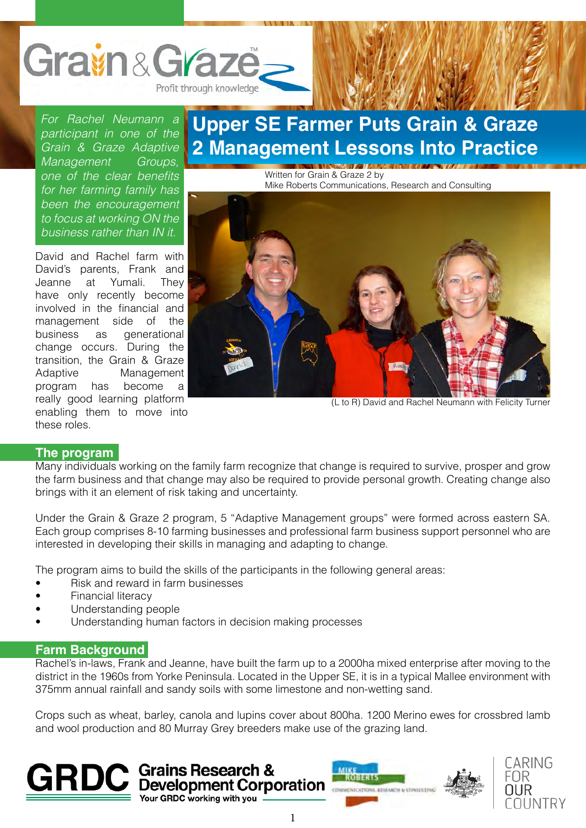

*For Rachel Neumann a participant in one of the Grain & Graze Adaptive Management Groups,*  one of the clear benefits *for her farming family has been the encouragement to focus at working ON the business rather than IN it.*

David and Rachel farm with David's parents, Frank and Jeanne at Yumali. They have only recently become involved in the financial and management side of the business as generational change occurs. During the transition, the Grain & Graze Adaptive Management program has become a really good learning platform enabling them to move into these roles.

### **Upper SE Farmer Puts Grain & Graze 2 Management Lessons Into Practice**

Written for Grain & Graze 2 by Mike Roberts Communications, Research and Consulting



(L to R) David and Rachel Neumann with Felicity Turner

#### **The program**

Many individuals working on the family farm recognize that change is required to survive, prosper and grow the farm business and that change may also be required to provide personal growth. Creating change also brings with it an element of risk taking and uncertainty.

Under the Grain & Graze 2 program, 5 "Adaptive Management groups" were formed across eastern SA. Each group comprises 8-10 farming businesses and professional farm business support personnel who are interested in developing their skills in managing and adapting to change.

The program aims to build the skills of the participants in the following general areas:

- Risk and reward in farm businesses
- Financial literacy
- Understanding people
- Understanding human factors in decision making processes

### **Farm Background**

Rachel's in-laws, Frank and Jeanne, have built the farm up to a 2000ha mixed enterprise after moving to the district in the 1960s from Yorke Peninsula. Located in the Upper SE, it is in a typical Mallee environment with 375mm annual rainfall and sandy soils with some limestone and non-wetting sand.

Crops such as wheat, barley, canola and lupins cover about 800ha. 1200 Merino ewes for crossbred lamb and wool production and 80 Murray Grey breeders make use of the grazing land.





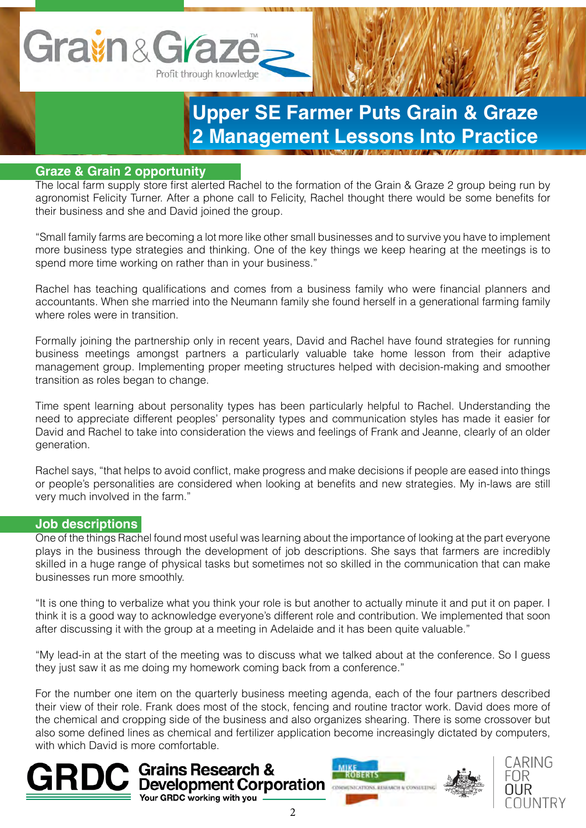

## **Upper SE Farmer Puts Grain & Graze 2 Management Lessons Into Practice**

### **Graze & Grain 2 opportunity**

The local farm supply store first alerted Rachel to the formation of the Grain & Graze 2 group being run by agronomist Felicity Turner. After a phone call to Felicity, Rachel thought there would be some benefits for their business and she and David joined the group.

"Small family farms are becoming a lot more like other small businesses and to survive you have to implement more business type strategies and thinking. One of the key things we keep hearing at the meetings is to spend more time working on rather than in your business."

Rachel has teaching qualifications and comes from a business family who were financial planners and accountants. When she married into the Neumann family she found herself in a generational farming family where roles were in transition.

Formally joining the partnership only in recent years, David and Rachel have found strategies for running business meetings amongst partners a particularly valuable take home lesson from their adaptive management group. Implementing proper meeting structures helped with decision-making and smoother transition as roles began to change.

Time spent learning about personality types has been particularly helpful to Rachel. Understanding the need to appreciate different peoples' personality types and communication styles has made it easier for David and Rachel to take into consideration the views and feelings of Frank and Jeanne, clearly of an older generation.

Rachel says, "that helps to avoid conflict, make progress and make decisions if people are eased into things or people's personalities are considered when looking at benefits and new strategies. My in-laws are still very much involved in the farm."

### **Job descriptions**

One of the things Rachel found most useful was learning about the importance of looking at the part everyone plays in the business through the development of job descriptions. She says that farmers are incredibly skilled in a huge range of physical tasks but sometimes not so skilled in the communication that can make businesses run more smoothly.

"It is one thing to verbalize what you think your role is but another to actually minute it and put it on paper. I think it is a good way to acknowledge everyone's different role and contribution. We implemented that soon after discussing it with the group at a meeting in Adelaide and it has been quite valuable."

"My lead-in at the start of the meeting was to discuss what we talked about at the conference. So I guess they just saw it as me doing my homework coming back from a conference."

For the number one item on the quarterly business meeting agenda, each of the four partners described their view of their role. Frank does most of the stock, fencing and routine tractor work. David does more of the chemical and cropping side of the business and also organizes shearing. There is some crossover but also some defined lines as chemical and fertilizer application become increasingly dictated by computers, with which David is more comfortable.







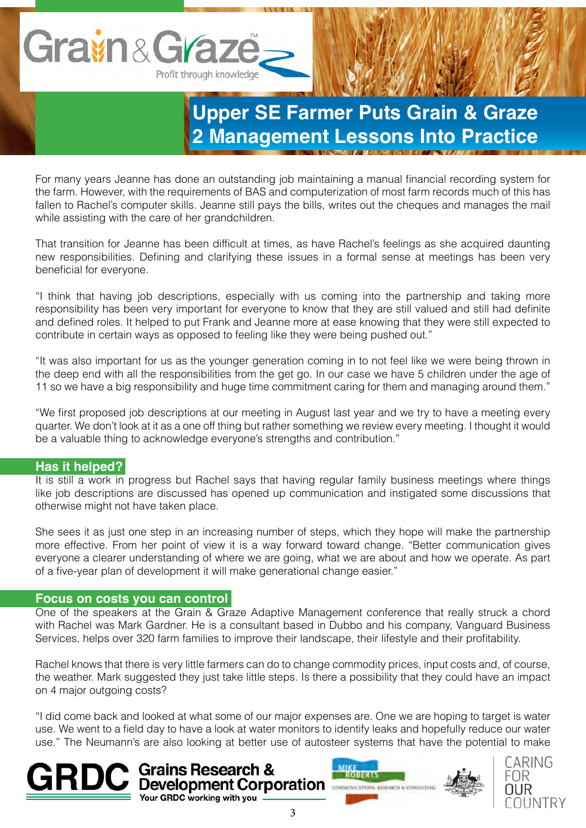# Gravin & Grazo Profit through knowledge

## **Upper SE Farmer Puts Grain & Graze 2 Management Lessons Into Practice**

For many years Jeanne has done an outstanding job maintaining a manual financial recording system for the farm. However, with the requirements of BAS and computerization of most farm records much of this has fallen to Rachel's computer skills. Jeanne still pays the bills, writes out the cheques and manages the mail while assisting with the care of her grandchildren.

That transition for Jeanne has been difficult at times, as have Rachel's feelings as she acquired daunting new responsibilities. Defining and clarifying these issues in a formal sense at meetings has been very beneficial for everyone.

"I think that having job descriptions, especially with us coming into the partnership and taking more responsibility has been very important for everyone to know that they are still valued and still had definite and defined roles. It helped to put Frank and Jeanne more at ease knowing that they were still expected to contribute in certain ways as opposed to feeling like they were being pushed out."

"It was also important for us as the younger generation coming in to not feel like we were being thrown in the deep end with all the responsibilities from the get go. In our case we have 5 children under the age of 11 so we have a big responsibility and huge time commitment caring for them and managing around them."

"We first proposed job descriptions at our meeting in August last year and we try to have a meeting every quarter. We don't look at it as a one off thing but rather something we review every meeting. I thought it would be a valuable thing to acknowledge everyone's strengths and contribution."

### **Has it helped?**

It is still a work in progress but Rachel says that having regular family business meetings where things like job descriptions are discussed has opened up communication and instigated some discussions that otherwise might not have taken place.

She sees it as just one step in an increasing number of steps, which they hope will make the partnership more effective. From her point of view it is a way forward toward change. "Better communication gives everyone a clearer understanding of where we are going, what we are about and how we operate. As part of a five-year plan of development it will make generational change easier."

### **Focus on costs you can control**

One of the speakers at the Grain & Graze Adaptive Management conference that really struck a chord with Rachel was Mark Gardner. He is a consultant based in Dubbo and his company, Vanguard Business Services, helps over 320 farm families to improve their landscape, their lifestyle and their profitability.

Rachel knows that there is very little farmers can do to change commodity prices, input costs and, of course, the weather. Mark suggested they just take little steps. Is there a possibility that they could have an impact on 4 major outgoing costs?

"I did come back and looked at what some of our major expenses are. One we are hoping to target is water use. We went to a field day to have a look at water monitors to identify leaks and hopefully reduce our water use." The Neumann's are also looking at better use of autosteer systems that have the potential to make







Your GRDC working with you